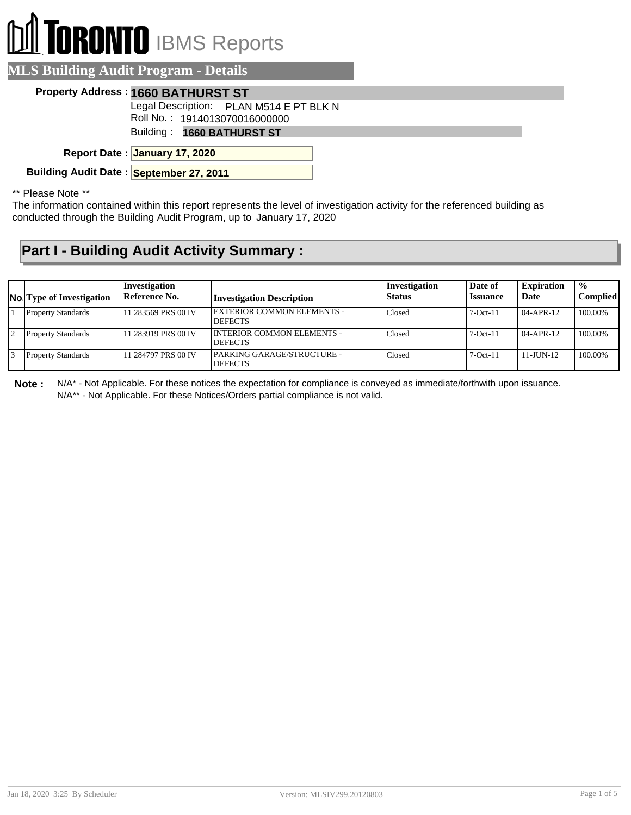# **RONTO** IBMS Reports

### **MLS Building Audit Program - Details**

#### **Property Address : 1660 BATHURST ST**

Legal Description: PLAN M514 E PT BLK N

Roll No. : 1914013070016000000

Building : **1660 BATHURST ST**

**January 17, 2020 Report Date :**

**Building Audit Date : September 27, 2011**

\*\* Please Note \*\*

The information contained within this report represents the level of investigation activity for the referenced building as conducted through the Building Audit Program, up to January 17, 2020

## **Part I - Building Audit Activity Summary :**

| <b>No.</b> Type of Investigation | Investigation<br>Reference No. | <b>Investigation Description</b>                    | Investigation<br><b>Status</b> | Date of<br><b>Issuance</b> | <b>Expiration</b><br>Date | $\frac{1}{2}$<br><b>Complied</b> |
|----------------------------------|--------------------------------|-----------------------------------------------------|--------------------------------|----------------------------|---------------------------|----------------------------------|
| <b>Property Standards</b>        | 11 283569 PRS 00 IV            | <b>EXTERIOR COMMON ELEMENTS -</b><br><b>DEFECTS</b> | Closed                         | $7-Oct-11$                 | $04 - APR - 12$           | 100.00%                          |
| <b>Property Standards</b>        | 11 283919 PRS 00 IV            | INTERIOR COMMON ELEMENTS -<br><b>DEFECTS</b>        | Closed                         | $7-Oct-11$                 | $04 - APR - 12$           | 100.00%                          |
| <b>Property Standards</b>        | 11 284797 PRS 00 IV            | PARKING GARAGE/STRUCTURE -<br><b>DEFECTS</b>        | Closed                         | $7-Oct-11$                 | $11 - J$ UN-12            | 100.00%                          |

**Note :** N/A\* - Not Applicable. For these notices the expectation for compliance is conveyed as immediate/forthwith upon issuance. N/A\*\* - Not Applicable. For these Notices/Orders partial compliance is not valid.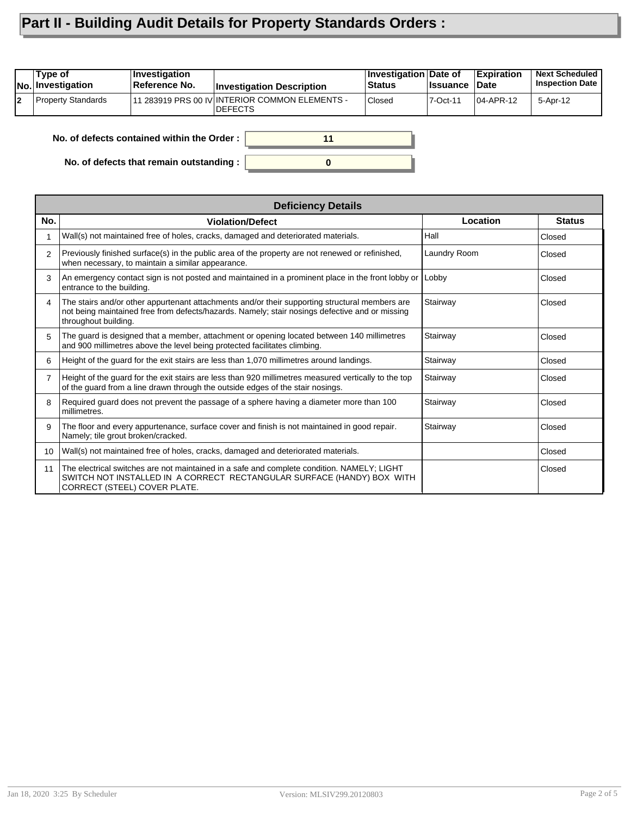# **Part II - Building Audit Details for Property Standards Orders :**

| Property Standards<br>11 283919 PRS 00 IV INTERIOR COMMON ELEMENTS -<br>Closed<br>7-Oct-11<br>5-Apr-12<br>104-APR-12<br><b>DEFECTS</b> | Tvpe of<br><b>INo.</b> Investigation | <b>Investigation</b><br>Reference No. | <b>Investigation Description</b> | Investigation Date of<br><b>Status</b> | ∣Issuance | <b>Expiration</b><br>∣Date | <b>Next Scheduled</b><br><b>Inspection Date</b> |
|----------------------------------------------------------------------------------------------------------------------------------------|--------------------------------------|---------------------------------------|----------------------------------|----------------------------------------|-----------|----------------------------|-------------------------------------------------|
|                                                                                                                                        |                                      |                                       |                                  |                                        |           |                            |                                                 |

**0**

**11**

**No. of defects contained within the Order :**

**No. of defects that remain outstanding :**

|     | <b>Deficiency Details</b>                                                                                                                                                                                                |              |               |  |  |  |  |
|-----|--------------------------------------------------------------------------------------------------------------------------------------------------------------------------------------------------------------------------|--------------|---------------|--|--|--|--|
| No. | <b>Violation/Defect</b>                                                                                                                                                                                                  | Location     | <b>Status</b> |  |  |  |  |
|     | Wall(s) not maintained free of holes, cracks, damaged and deteriorated materials.                                                                                                                                        | Hall         | Closed        |  |  |  |  |
| 2   | Previously finished surface(s) in the public area of the property are not renewed or refinished,<br>when necessary, to maintain a similar appearance.                                                                    | Laundry Room | Closed        |  |  |  |  |
| 3   | An emergency contact sign is not posted and maintained in a prominent place in the front lobby or<br>entrance to the building.                                                                                           | Lobby        | Closed        |  |  |  |  |
| 4   | The stairs and/or other appurtenant attachments and/or their supporting structural members are<br>not being maintained free from defects/hazards. Namely; stair nosings defective and or missing<br>throughout building. | Stairway     | Closed        |  |  |  |  |
| 5   | The guard is designed that a member, attachment or opening located between 140 millimetres<br>and 900 millimetres above the level being protected facilitates climbing.                                                  | Stairway     | Closed        |  |  |  |  |
| 6   | Height of the quard for the exit stairs are less than 1,070 millimetres around landings.                                                                                                                                 | Stairway     | Closed        |  |  |  |  |
| 7   | Height of the guard for the exit stairs are less than 920 millimetres measured vertically to the top<br>of the guard from a line drawn through the outside edges of the stair nosings.                                   | Stairway     | Closed        |  |  |  |  |
| 8   | Required guard does not prevent the passage of a sphere having a diameter more than 100<br>millimetres.                                                                                                                  | Stairway     | Closed        |  |  |  |  |
| 9   | The floor and every appurtenance, surface cover and finish is not maintained in good repair.<br>Namely; tile grout broken/cracked.                                                                                       | Stairway     | Closed        |  |  |  |  |
| 10  | Wall(s) not maintained free of holes, cracks, damaged and deteriorated materials.                                                                                                                                        |              | Closed        |  |  |  |  |
| 11  | The electrical switches are not maintained in a safe and complete condition. NAMELY; LIGHT<br>SWITCH NOT INSTALLED IN A CORRECT RECTANGULAR SURFACE (HANDY) BOX WITH<br>CORRECT (STEEL) COVER PLATE.                     |              | Closed        |  |  |  |  |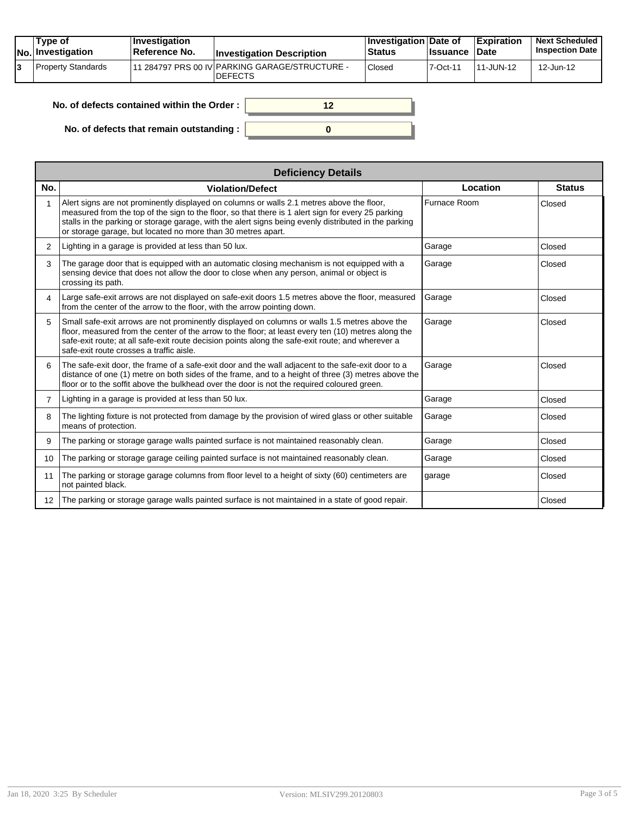| Type of<br>No. Investigation | $ $ Investigation<br><b>Reference No.</b> | <b>Investigation Description</b>                                 | ∣Investigation Date of<br>Status | <b>Issuance Date</b> | <b>Expiration</b> | <b>Next Scheduled</b><br><b>Inspection Date</b> |
|------------------------------|-------------------------------------------|------------------------------------------------------------------|----------------------------------|----------------------|-------------------|-------------------------------------------------|
| Property Standards           |                                           | 11 284797 PRS 00 IV PARKING GARAGE/STRUCTURE -<br><b>DEFECTS</b> | Closed                           | 7-Oct-11             | 111-JUN-12        | 12-Jun-12                                       |

| No, of defects contained within the Order: |  |
|--------------------------------------------|--|
| No. of defects that remain outstanding :   |  |

|                 | <b>Deficiency Details</b>                                                                                                                                                                                                                                                                                                                                                |              |               |  |  |  |  |  |
|-----------------|--------------------------------------------------------------------------------------------------------------------------------------------------------------------------------------------------------------------------------------------------------------------------------------------------------------------------------------------------------------------------|--------------|---------------|--|--|--|--|--|
| No.             | <b>Violation/Defect</b>                                                                                                                                                                                                                                                                                                                                                  | Location     | <b>Status</b> |  |  |  |  |  |
|                 | Alert signs are not prominently displayed on columns or walls 2.1 metres above the floor,<br>measured from the top of the sign to the floor, so that there is 1 alert sign for every 25 parking<br>stalls in the parking or storage garage, with the alert signs being evenly distributed in the parking<br>or storage garage, but located no more than 30 metres apart. | Furnace Room | Closed        |  |  |  |  |  |
| 2               | Lighting in a garage is provided at less than 50 lux.                                                                                                                                                                                                                                                                                                                    | Garage       | Closed        |  |  |  |  |  |
| 3               | The garage door that is equipped with an automatic closing mechanism is not equipped with a<br>sensing device that does not allow the door to close when any person, animal or object is<br>crossing its path.                                                                                                                                                           | Garage       | Closed        |  |  |  |  |  |
| 4               | Large safe-exit arrows are not displayed on safe-exit doors 1.5 metres above the floor, measured<br>from the center of the arrow to the floor, with the arrow pointing down.                                                                                                                                                                                             | Garage       | Closed        |  |  |  |  |  |
| 5               | Small safe-exit arrows are not prominently displayed on columns or walls 1.5 metres above the<br>floor, measured from the center of the arrow to the floor; at least every ten (10) metres along the<br>safe-exit route; at all safe-exit route decision points along the safe-exit route; and wherever a<br>safe-exit route crosses a traffic aisle.                    | Garage       | Closed        |  |  |  |  |  |
| 6               | The safe-exit door, the frame of a safe-exit door and the wall adjacent to the safe-exit door to a<br>distance of one (1) metre on both sides of the frame, and to a height of three (3) metres above the<br>floor or to the soffit above the bulkhead over the door is not the required coloured green.                                                                 | Garage       | Closed        |  |  |  |  |  |
| $\mathbf{7}$    | Lighting in a garage is provided at less than 50 lux.                                                                                                                                                                                                                                                                                                                    | Garage       | Closed        |  |  |  |  |  |
| 8               | The lighting fixture is not protected from damage by the provision of wired glass or other suitable<br>means of protection.                                                                                                                                                                                                                                              | Garage       | Closed        |  |  |  |  |  |
| 9               | The parking or storage garage walls painted surface is not maintained reasonably clean.                                                                                                                                                                                                                                                                                  | Garage       | Closed        |  |  |  |  |  |
| 10              | The parking or storage garage ceiling painted surface is not maintained reasonably clean.                                                                                                                                                                                                                                                                                | Garage       | Closed        |  |  |  |  |  |
| 11              | The parking or storage garage columns from floor level to a height of sixty (60) centimeters are<br>not painted black.                                                                                                                                                                                                                                                   | garage       | Closed        |  |  |  |  |  |
| 12 <sup>2</sup> | The parking or storage garage walls painted surface is not maintained in a state of good repair.                                                                                                                                                                                                                                                                         |              | Closed        |  |  |  |  |  |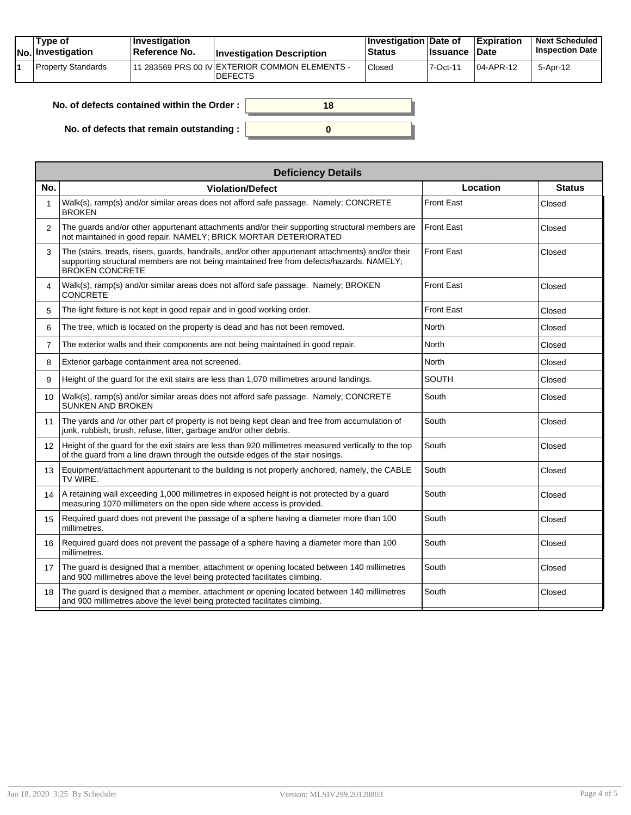| Tvpe of<br>No. Investigation | $\blacksquare$ Investigation<br>Reference No. | <b>Investigation Description</b>                                | <b>Investigation Date of</b><br><b>Status</b> | <b>Issuance</b> | <b>Expiration</b><br><b>Date</b> | <b>Next Scheduled</b><br><b>Inspection Date</b> |
|------------------------------|-----------------------------------------------|-----------------------------------------------------------------|-----------------------------------------------|-----------------|----------------------------------|-------------------------------------------------|
| Property Standards           |                                               | 1 283569 PRS 00 IV EXTERIOR COMMON ELEMENTS -<br><b>DEFECTS</b> | Closed                                        | $7-Oct-1$       | $104$ -APR-12                    | 5-Apr-12                                        |

| . of defects contained within the Order: | 18 |
|------------------------------------------|----|
| No. of defects that remain outstanding:  |    |

|                 | <b>Deficiency Details</b>                                                                                                                                                                                                 |                   |               |  |  |  |  |  |
|-----------------|---------------------------------------------------------------------------------------------------------------------------------------------------------------------------------------------------------------------------|-------------------|---------------|--|--|--|--|--|
| No.             | <b>Violation/Defect</b>                                                                                                                                                                                                   | Location          | <b>Status</b> |  |  |  |  |  |
|                 | Walk(s), ramp(s) and/or similar areas does not afford safe passage. Namely; CONCRETE<br><b>BROKEN</b>                                                                                                                     | <b>Front East</b> | Closed        |  |  |  |  |  |
| $\overline{2}$  | The guards and/or other appurtenant attachments and/or their supporting structural members are<br>not maintained in good repair. NAMELY: BRICK MORTAR DETERIORATED                                                        | <b>Front East</b> | Closed        |  |  |  |  |  |
| 3               | The (stairs, treads, risers, guards, handrails, and/or other appurtenant attachments) and/or their<br>supporting structural members are not being maintained free from defects/hazards. NAMELY;<br><b>BROKEN CONCRETE</b> | <b>Front East</b> | Closed        |  |  |  |  |  |
| 4               | Walk(s), ramp(s) and/or similar areas does not afford safe passage. Namely; BROKEN<br><b>CONCRETE</b>                                                                                                                     | <b>Front East</b> | Closed        |  |  |  |  |  |
| 5               | The light fixture is not kept in good repair and in good working order.                                                                                                                                                   | <b>Front East</b> | Closed        |  |  |  |  |  |
| 6               | The tree, which is located on the property is dead and has not been removed.                                                                                                                                              | North             | Closed        |  |  |  |  |  |
| 7               | The exterior walls and their components are not being maintained in good repair.                                                                                                                                          | North             | Closed        |  |  |  |  |  |
| 8               | Exterior garbage containment area not screened.                                                                                                                                                                           | <b>North</b>      | Closed        |  |  |  |  |  |
| 9               | Height of the quard for the exit stairs are less than 1,070 millimetres around landings.                                                                                                                                  | <b>SOUTH</b>      | Closed        |  |  |  |  |  |
| 10              | Walk(s), ramp(s) and/or similar areas does not afford safe passage. Namely; CONCRETE<br><b>SUNKEN AND BROKEN</b>                                                                                                          | South             | Closed        |  |  |  |  |  |
| 11              | The yards and /or other part of property is not being kept clean and free from accumulation of<br>junk, rubbish, brush, refuse, litter, garbage and/or other debris.                                                      | South             | Closed        |  |  |  |  |  |
| 12 <sup>2</sup> | Height of the quard for the exit stairs are less than 920 millimetres measured vertically to the top<br>of the quard from a line drawn through the outside edges of the stair nosings.                                    | South             | Closed        |  |  |  |  |  |
| 13              | Equipment/attachment appurtenant to the building is not properly anchored, namely, the CABLE<br>TV WIRE.                                                                                                                  | South             | Closed        |  |  |  |  |  |
| 14              | A retaining wall exceeding 1,000 millimetres in exposed height is not protected by a guard<br>measuring 1070 millimeters on the open side where access is provided.                                                       | South             | Closed        |  |  |  |  |  |
| 15              | Required guard does not prevent the passage of a sphere having a diameter more than 100<br>millimetres.                                                                                                                   | South             | Closed        |  |  |  |  |  |
| 16              | Required guard does not prevent the passage of a sphere having a diameter more than 100<br>millimetres.                                                                                                                   | South             | Closed        |  |  |  |  |  |
| 17              | The quard is designed that a member, attachment or opening located between 140 millimetres<br>and 900 millimetres above the level being protected facilitates climbing.                                                   | South             | Closed        |  |  |  |  |  |
| 18              | The guard is designed that a member, attachment or opening located between 140 millimetres<br>and 900 millimetres above the level being protected facilitates climbing.                                                   | South             | Closed        |  |  |  |  |  |

**No. of**